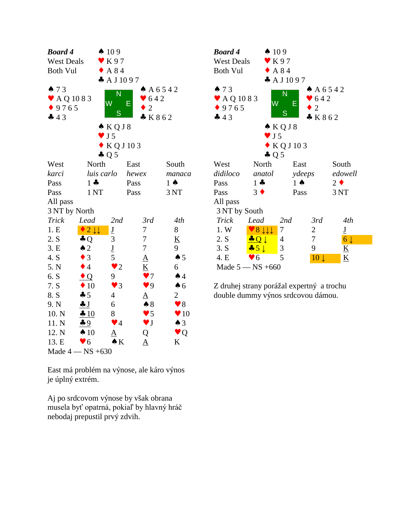| <b>Board 4</b>                                     |                           | $\spadesuit$ 109                            |                                              |                         | <b>Boar</b>                                          |
|----------------------------------------------------|---------------------------|---------------------------------------------|----------------------------------------------|-------------------------|------------------------------------------------------|
| <b>West Deals</b>                                  |                           | $\bullet$ K97                               |                                              |                         | West                                                 |
| <b>Both Vul</b>                                    |                           | $\triangle$ A 84                            |                                              |                         | <b>Both</b>                                          |
| 473<br>$\blacktriangleright$ AQ 1083<br>9765<br>43 |                           | A J 1097<br>N<br>W<br>S<br>$\triangle$ KQJ8 | $\bullet$ 642<br>Ε<br>$\mathfrak{2}$<br>K862 | $A\ 6542$               | $\spadesuit$ 7<br>$\bullet$ A<br>$\bullet$ 9'<br>4.4 |
|                                                    |                           | $\blacktriangledown$ J 5                    |                                              |                         |                                                      |
|                                                    |                           | $\bullet$ KQJ103                            |                                              |                         |                                                      |
|                                                    |                           | $\clubsuit$ Q 5                             |                                              |                         |                                                      |
| West                                               | North                     |                                             | East                                         | South                   | West                                                 |
| karci                                              | luis carlo                |                                             | hewex                                        | manaca                  | didile                                               |
| Pass<br>Pass                                       | $1 -$<br>1 <sub>NT</sub>  |                                             | Pass<br>Pass                                 | $1 \spadesuit$<br>3 NT  | Pass<br>Pass                                         |
| All pass                                           |                           |                                             |                                              |                         | All p                                                |
| 3 NT by North                                      |                           |                                             |                                              |                         | 3 <sub>N</sub>                                       |
| <b>Trick</b>                                       | Lead                      | 2nd                                         | 3rd                                          | 4th                     | Tric                                                 |
| 1.E                                                | $2 \downarrow \downarrow$ | $\underline{\mathbf{J}}$                    | 7                                            | 8                       | $1.$ W                                               |
| 2. S                                               | $\clubsuit$ Q             | 3                                           | 7                                            | $\underline{K}$         | 2. S                                                 |
| 3.E                                                | $\triangle$ 2             | $\underline{\mathbf{J}}$                    | 7                                            | 9                       | 3. S                                                 |
| 4. S                                               | $\bullet$ 3               | 5                                           | $\underline{A}$                              | $\spadesuit$ 5          | 4. E                                                 |
| 5. N                                               | $\bullet$ 4               | $\bullet$ 2                                 | K                                            | 6                       | Mac                                                  |
| 6. S                                               | $\bullet$ Q               | 9                                           | $\blacktriangledown$                         | $\spadesuit$ 4          |                                                      |
| 7. S                                               | $\triangle$ 10            | $\blacktriangledown$ 3                      | $\blacktriangledown$ 9                       | $\spadesuit$ 6          | Z dru                                                |
| 8. S                                               | $\clubsuit 5$             | $\overline{4}$                              | <u>A</u>                                     | $\overline{2}$          | doub                                                 |
| 9. N                                               | $\frac{1}{2}$             | 6                                           | $\clubsuit 8$                                | $\blacktriangledown 8$  |                                                      |
| 10. N                                              | $\div 10$                 | 8                                           | $\blacktriangledown$ 5                       | $\blacktriangledown 10$ |                                                      |
| 11. N                                              | $\clubsuit$ 9             | $\blacktriangledown$ 4                      | $\blacktriangledown$ J                       | $\triangle$ 3           |                                                      |
| 12. N                                              | $\spadesuit$ 10           | ${\underline{\rm A}}$                       | Q                                            | $\bullet$ Q             |                                                      |
| 13. E                                              | $\blacktriangledown 6$    | $\bullet K$                                 | $\underline{A}$                              | K                       |                                                      |
|                                                    | Made $4 - NS +630$        |                                             |                                              |                         |                                                      |

East má problém na výnose, ale káro výnos je úplný extrém.

Aj po srdcovom výnose by však obrana musela byť opatrná, pokiaľ by hlavný hráč nebodaj prepustil prvý zdvih.



Z druhej strany porážal expertný a trochu double dummy výnos srdcovou dámou.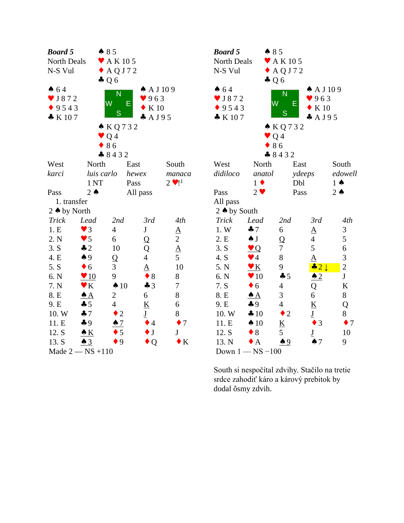| <b>Board 5</b>          |                        | $\bullet$ 85                |                          |                                | <b>Boar</b>    |
|-------------------------|------------------------|-----------------------------|--------------------------|--------------------------------|----------------|
| North Deals             |                        | $\blacktriangleright$ AK105 |                          |                                | North          |
| N-S Vul                 |                        | $\triangle$ AQJ72           |                          |                                | $N-S$          |
|                         |                        | $\clubsuit$ Q 6             |                          |                                |                |
| 64                      |                        | N                           | $\spadesuit$ A J 109     |                                | $\bullet$ 64   |
| $\triangledown$ J 8 7 2 |                        | W<br>Е                      | 963                      |                                | $\vee$ J &     |
| 9543                    |                        | S                           | K 10                     |                                | 9 <sup>5</sup> |
| $\bullet K107$          |                        |                             | $A$ A J 9 5              |                                | $\bullet K$    |
|                         |                        | $\triangle KQ732$           |                          |                                |                |
|                         |                        | Q <sub>4</sub>              |                          |                                |                |
|                         |                        | 86                          |                          |                                |                |
|                         |                        | 8432                        |                          |                                |                |
| West                    | North                  |                             | East                     | South                          | West           |
| karci                   | luis carlo             |                             | hewex                    | manaca                         | didilo         |
|                         | 1 <sub>NT</sub>        |                             | Pass                     | $2 \cdot 11$                   |                |
| Pass                    | $2 \triangle$          |                             | All pass                 |                                | Pass           |
| 1. transfer             |                        |                             |                          |                                | All p          |
| 2 ♦ by North            |                        |                             |                          |                                | $2 \wedge 1$   |
| <b>Trick</b>            | Lead                   | 2nd                         | 3rd                      | 4th                            | Tricl          |
| 1.E                     | $\blacktriangledown$ 3 | $\overline{4}$              | J                        |                                | 1. W           |
| 2. N                    | $\blacktriangledown$ 5 | 6                           | Q                        |                                | 2. E           |
| 3. S                    | $\clubsuit$ 2          | 10                          | Q                        | $\frac{A}{2}$<br>$\frac{A}{5}$ | 3. S           |
| 4. E                    | $\spadesuit$ 9         | $\mathbf Q$                 | $\overline{4}$           |                                | 4. S           |
| 5. S                    | $\bullet$ 6            | 3                           | $\overline{\mathbf{A}}$  | 10                             | 5. N           |
| 6. N                    | $\sqrt{10}$            | 9                           | $\bullet$ 8              | 8                              | 6. N           |
| 7. N                    | $\blacktriangledown K$ | $\triangle$ 10              | $\clubsuit$ 3            | $\tau$                         | 7. S           |
| 8. E                    | $\triangle$ $A$        | $\overline{c}$              | 6                        | 8                              | 8. E           |
| 9. E                    | $\clubsuit$ 5          | $\overline{4}$              | $\underline{\mathbf{K}}$ | 6                              | 9. E           |
| 10. W                   | 47                     | $\overline{2}$              | $\underline{\mathbf{J}}$ | 8                              | 10.7           |
| 11. E                   | $\clubsuit$ 9          | $\spadesuit$ 7              | $\bullet$ 4              | $\bullet$ 7                    | 11.E           |
| 12. S                   | $\triangle K$          | 5                           | $\bullet$ J              | J                              | 12. S          |
| 13. S                   | $\triangle$ 3          | 9                           | $\bullet$ Q              | $\bullet K$                    | 13.            |
| Made $2$ – NS +110      |                        |                             |                          |                                | Dow            |

| Board 5                    | $\bullet$ 85               |                             |                          |                          |  |
|----------------------------|----------------------------|-----------------------------|--------------------------|--------------------------|--|
| North Deals                |                            | $\blacktriangleright$ AK105 |                          |                          |  |
| N-S Vul                    |                            | $\triangle$ AQJ72           |                          |                          |  |
|                            | $\clubsuit$ Q 6            |                             |                          |                          |  |
| 64                         |                            |                             | $\spadesuit$ A J 109     |                          |  |
| $\blacktriangledown$ J 872 |                            | N                           | 963                      |                          |  |
| 9543                       | W                          | Е                           | K 10                     |                          |  |
| $\bullet K107$             |                            | $\overline{\mathsf{S}}$     | $A$ A J 9 5              |                          |  |
|                            |                            | $\triangle$ KQ732           |                          |                          |  |
|                            | $\bullet$ Q 4              |                             |                          |                          |  |
|                            |                            | 86                          |                          |                          |  |
|                            |                            | 8432                        |                          |                          |  |
| West                       | North                      |                             | East                     | South                    |  |
| didiloco                   | anatol                     |                             | ydeeps                   | edowell                  |  |
|                            | $1 \bullet$                |                             | Dbl                      | $1 \spadesuit$           |  |
| Pass                       | $2 \bullet$                |                             | Pass                     | $2 \triangle$            |  |
| All pass                   |                            |                             |                          |                          |  |
| 2 ♦ by South               |                            |                             |                          |                          |  |
| <b>Trick</b>               | Lead                       | 2nd                         | 3rd                      | 4th                      |  |
| 1. W                       | $\clubsuit$ 7              | 6                           | $\underline{A}$          | 3                        |  |
| 2. E                       | $\clubsuit$ J              | Q                           | $\overline{4}$           | 5                        |  |
| 3. S                       | $\vee Q$                   | 7                           | 5                        | 6                        |  |
| 4. S                       | $\blacktriangledown$ 4     | 8                           | $\overline{\mathbf{A}}$  | 3                        |  |
| 5. N                       | $\underline{\mathbf{v}}$ K | 9                           | $\div$ 2 $\downarrow$    | $\overline{c}$           |  |
| 6. N                       | $\blacktriangledown 10$    | 45                          | $\triangle$ 2            | ${\bf J}$                |  |
| 7. S                       | 6                          | $\overline{4}$              | Q                        | $\underline{\mathbf{K}}$ |  |
| 8. E                       | $\triangle$ A              | 3                           | 6                        | 8                        |  |
| 9. E                       | $\clubsuit$ 9              | $\overline{4}$              | $\underline{\mathbf{K}}$ | Q                        |  |
| 10. W                      | 410                        | $\bullet$ 2                 | $\underline{\mathbf{J}}$ | 8                        |  |
| 11. E                      | $\spadesuit$ 10            | <u>K</u>                    | $\overline{3}$<br>٠      | $\bullet$ 7              |  |
| 12. S                      | $\bullet$ 8                | 5                           | $\underline{\mathbf{J}}$ | 10                       |  |
| 13. N                      | $\bullet$ A                | $\clubsuit$ 9               | $\spadesuit$ 7           | 9                        |  |
|                            | Down $1 - NS - 100$        |                             |                          |                          |  |
|                            |                            |                             |                          |                          |  |

South si nespočítal zdvihy. Stačilo na tretie srdce zahodiť káro a kárový prebitok by dodal ôsmy zdvih.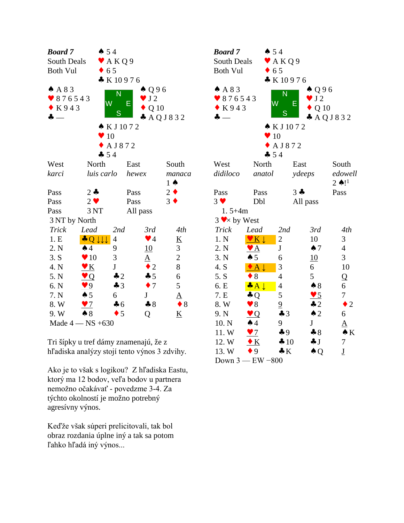| <b>Board</b> 7   |                         | $\spadesuit 54$            |                        |                          | <b>Boa</b>             |
|------------------|-------------------------|----------------------------|------------------------|--------------------------|------------------------|
| South Deals      |                         | $\blacktriangleright$ AKQ9 |                        |                          | Sou                    |
| <b>Both Vul</b>  |                         | $\bullet$ 65               |                        |                          | <b>Bot</b>             |
|                  |                         | K10976                     |                        |                          |                        |
| A 8 3            |                         | N                          | $\spadesuit$ Q96       |                          | $\clubsuit$ $\land$    |
| $\bullet$ 876543 |                         | W                          | $\bullet$ J2           |                          | $\blacktriangledown 8$ |
| $\bullet$ K943   |                         | E                          | Q 10                   |                          | $\bullet$ F            |
| ÷                |                         | S                          |                        | A Q J 8 3 2              | $\clubsuit$ –          |
|                  |                         | $\triangle$ KJ1072         |                        |                          |                        |
|                  |                         | $\blacktriangledown 10$    |                        |                          |                        |
|                  |                         | $\triangle$ AJ872          |                        |                          |                        |
|                  |                         | $-54$                      |                        |                          |                        |
| West             | North                   |                            | East                   | South                    | We:                    |
| karci            | luis carlo              |                            | hewex                  | manaca                   | didi                   |
|                  |                         |                            |                        | $1 \spadesuit$           |                        |
| Pass             | $2 -$                   |                            | Pass                   | $2 \bullet$              | Pas:                   |
| Pass             | $2 \bullet$             |                            | Pass                   | $3 \bullet$              | $3 \vee$               |
| Pass             | 3 NT                    |                            | All pass               |                          | $\mathbf{1}$           |
| 3 NT by North    |                         |                            |                        |                          | $3 \vee$               |
| <b>Trick</b>     | Lead                    | 2nd                        | 3rd                    | 4th                      | Tri                    |
| 1.E              | $\bigcup$               | 4                          | $\blacktriangledown$ 4 | $\underline{K}$          | $1. \Gamma$            |
| 2. N             | $\spadesuit$ 4          | 9                          | <b>10</b>              | 3                        | 2. <i>N</i>            |
| 3. S             | $\blacktriangledown 10$ | 3                          | $\Delta$               | $\overline{c}$           | 3.1                    |
| 4. N             | $\bullet K$             | $\bf J$                    | $\bullet$ 2            | 8                        | 4. S                   |
| 5. N             | $\vee Q$                | $\clubsuit$ 2              | 45                     | 6                        | 5. S                   |
| 6. N             | 9                       | $\clubsuit$ 3              | $\bullet$ 7            | 5                        | 6. E                   |
| 7. N             | $\spadesuit$ 5          | 6                          | $J_{\rm}$              | $\underline{A}$          | 7. E                   |
| 8. W             | $\blacktriangledown$    | $\clubsuit$ 6              | $*8$                   | $\bullet$ 8              | 8. V                   |
| 9. W             | $\clubsuit 8$           | $\bullet$ 5                | Q                      | $\underline{\mathbf{K}}$ | $9. 3$                 |
|                  | Made $4 - NS + 630$     |                            |                        |                          | 10.                    |

Tri šípky u tref dámy znamenajú, že z hľadiska analýzy stojí tento výnos 3 zdvihy.

Ako je to však s logikou? Z hľadiska Eastu, ktorý ma 12 bodov, veľa bodov u partnera nemožno očakávať - povedzme 3-4. Za týchto okolností je možno potrebný agresívny výnos.

Keďže však súperi prelicitovali, tak bol obraz rozdania úplne iný a tak sa potom ľahko hľadá iný výnos...

| <b>Board</b> 7     | $\spadesuit 54$          |                            |                      |                          |  |
|--------------------|--------------------------|----------------------------|----------------------|--------------------------|--|
| South Deals        |                          | $\blacktriangleright$ AKQ9 |                      |                          |  |
| <b>Both Vul</b>    |                          | $\bullet$ 65               |                      |                          |  |
|                    |                          | $\bullet K10976$           |                      |                          |  |
| AA83               |                          |                            | $\spadesuit$ Q96     |                          |  |
| 876543             |                          | $\overline{\mathsf{N}}$    | $\bullet$ J2         |                          |  |
| K943               |                          | W                          | Е<br>Q <sub>10</sub> |                          |  |
| ♣                  |                          | S                          |                      | A Q J 8 3 2              |  |
|                    |                          | ▲ KJ1072                   |                      |                          |  |
|                    | $\bullet$ 10             |                            |                      |                          |  |
|                    |                          | $\triangle$ AJ872          |                      |                          |  |
|                    | $-54$                    |                            |                      |                          |  |
| West               | North                    |                            | East                 | South                    |  |
| didiloco           | anatol                   |                            | ydeeps               | edowell                  |  |
|                    |                          |                            |                      | $2 \triangle 11$         |  |
| Pass               | Pass                     |                            | $3 -$                | Pass                     |  |
| $3 \vee$           | Dbl                      |                            | All pass             |                          |  |
| $1.5 + 4m$         |                          |                            |                      |                          |  |
| $3 \vee x$ by West |                          |                            |                      |                          |  |
| <b>Trick</b>       | Lead                     | 2nd                        | 3rd                  | 4th                      |  |
| 1. N               | $V K \downarrow$         | $\overline{c}$             | 10                   | 3                        |  |
| 2. N               | $\blacktriangledown$ $A$ | $\mathbf J$                | $\spadesuit$ 7       | $\overline{4}$           |  |
| 3. N               | $\spadesuit$ 5           | 6                          | 10                   | 3                        |  |
| 4. S               | $\bullet$ A $\downarrow$ | 3                          | 6                    | 10                       |  |
| 5. S               | $\bullet$ 8              | 4                          | 5                    | Q                        |  |
| 6. E               | $\bullet A \downarrow$   | $\overline{4}$             | $\clubsuit 8$        | 6                        |  |
| 7. E               | $\clubsuit Q$            | 5                          | $\bullet$ 5          | $\tau$                   |  |
| 8. W               | $\blacktriangledown 8$   | $\overline{\mathbf{z}}$    | $\clubsuit$ 2        | $\bullet$ 2              |  |
| 9. N               | $\vee$ Q                 | $\clubsuit$ 3              | $\triangle$ 2        | 6                        |  |
| 10. N              | $\spadesuit$ 4           | 9                          | J                    | ${\bf A}$                |  |
| 11.W               | $\blacktriangledown$     | $\clubsuit$ 9              | $\clubsuit 8$        | $\bullet K$              |  |
| 12. W              | $\bullet K$              | $\clubsuit 10$             | $\clubsuit$ J        | 7                        |  |
| 13. W              | $\bullet$ 9              | $\clubsuit K$              | $\clubsuit$ Q        | $\underline{\mathbf{J}}$ |  |
| Down 3 -           | $-$ EW $-800$            |                            |                      |                          |  |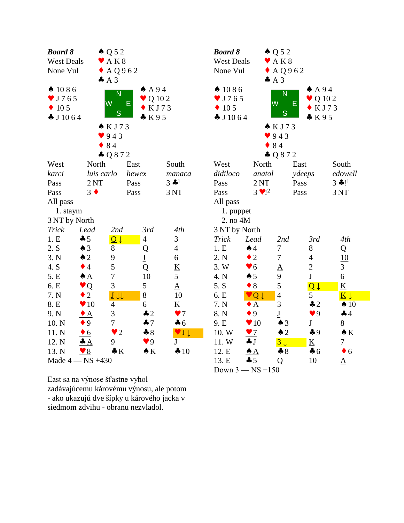| <b>Board 8</b>               |                         | $\triangle Q$ 52                                   |                          |                              | Bo             |
|------------------------------|-------------------------|----------------------------------------------------|--------------------------|------------------------------|----------------|
| <b>West Deals</b>            |                         | AK8                                                |                          |                              | We             |
| None Vul                     |                         | AQ962                                              |                          |                              | N <sub>0</sub> |
|                              |                         | A3                                                 |                          |                              |                |
| $\spadesuit$ 1086            |                         | N                                                  | AA94                     |                              |                |
| $\blacktriangledown$ J 7 6 5 |                         | W                                                  | $\bullet$ Q 10 2<br>E    |                              |                |
| 10 <sub>5</sub>              |                         |                                                    | KJ73                     |                              |                |
| $\clubsuit$ J 10 6 4         |                         | S                                                  | K95                      |                              | $\bullet$ .    |
|                              |                         | KJ73                                               |                          |                              |                |
|                              |                         | 943                                                |                          |                              |                |
|                              |                         | 84                                                 |                          |                              |                |
|                              |                         | $-Q872$                                            |                          |                              |                |
| West                         | North                   |                                                    | East                     | South                        | We             |
| karci                        | luis carlo              |                                                    | hewex                    | manaca                       | did            |
| Pass                         | 2NT                     |                                                    | Pass                     | $3$ $\clubsuit$ <sup>1</sup> | Pas            |
| Pass                         | $3 \bullet$             |                                                    | Pass                     | 3 NT                         | Pas            |
| All pass                     |                         |                                                    |                          |                              | All            |
| 1. staym                     |                         |                                                    |                          |                              |                |
| 3 NT by North                |                         |                                                    |                          |                              | $\tilde{ }$    |
| <b>Trick</b>                 | Lead                    | 2nd                                                | 3rd                      | 4th                          | 3N             |
| 1.E                          | 45                      | $\overline{\mathsf{Q}}\downarrow$                  | 4                        | 3                            | Tri            |
| 2. S                         | $\spadesuit$ 3          | 8                                                  | $\overline{Q}$           | $\overline{4}$               | 1.1            |
| 3. N                         | $\triangle$ 2           | 9                                                  | $\underline{\mathbf{J}}$ | 6                            | 2.1            |
| 4. S                         | $\bullet$ 4             | 5                                                  | Q                        | $\underline{\mathbf{K}}$     | 3.1            |
| 5. E                         | $\triangle$ $A$         | $\overline{7}$                                     | 10                       | 5                            | 4.1            |
| 6. E                         | $\bullet$ Q             | 3                                                  | 5                        | $\underline{A}$              | 5.             |
| 7. N                         | $\overline{2}$          | $\underline{\mathbf{J}}$<br>$\downarrow\downarrow$ | 8                        | 10                           | 6. I           |
| 8. E                         | $\blacktriangledown 10$ | 4                                                  | 6                        | $\underline{\mathbf{K}}$     | 7.1            |
| 9. N                         | $\bullet$ A             | 3                                                  | $\clubsuit$ 2            | $\bullet$ 7                  | 8.1            |
| 10. N                        | $\bullet$ 9             | 7                                                  | 47                       | $\clubsuit$ 6                | 9. I           |
| 11. N                        | $\bullet$ 6             | $\overline{2}$                                     | $\clubsuit 8$            | VJ                           | 10.            |
| 12. N                        | $\clubsuit A$           | 9                                                  | $\blacktriangledown 9$   | J                            | 11.            |
| 13. N                        | $\sqrt{8}$              | $\clubsuit K$                                      | $\bullet K$              | 410                          | 12.            |
|                              | Made $4 - NS +430$      |                                                    |                          |                              | 13.            |

| <b>Board 8</b><br><b>West Deals</b><br>None Vul<br>$\spadesuit$ 1086<br>J 7 6 5<br>10 <sub>5</sub><br>$\clubsuit$ J 1064 | A3                      | $\triangle Q 52$<br>$\blacktriangleright$ AK8<br>$\triangle$ AQ962<br>Ñ<br>W<br>S<br>$\triangle$ KJ73 | Е      | AA94<br>Q 10 2<br>KJ73<br>K95 |                                   |  |
|--------------------------------------------------------------------------------------------------------------------------|-------------------------|-------------------------------------------------------------------------------------------------------|--------|-------------------------------|-----------------------------------|--|
|                                                                                                                          | $\bullet$ 84            | 943                                                                                                   |        |                               |                                   |  |
|                                                                                                                          |                         | $-0872$                                                                                               |        |                               |                                   |  |
| West                                                                                                                     | North                   |                                                                                                       | East   |                               | South                             |  |
| didiloco                                                                                                                 | anatol                  |                                                                                                       | ydeeps |                               | edowell                           |  |
| Pass                                                                                                                     | 2NT                     |                                                                                                       | Pass   |                               | $3 * 11$                          |  |
| Pass                                                                                                                     | $3 \cdot 1^2$           |                                                                                                       | Pass   |                               | 3 NT                              |  |
| All pass                                                                                                                 |                         |                                                                                                       |        |                               |                                   |  |
| 1. puppet                                                                                                                |                         |                                                                                                       |        |                               |                                   |  |
| 2. no 4M                                                                                                                 |                         |                                                                                                       |        |                               |                                   |  |
| 3 NT by North                                                                                                            |                         |                                                                                                       |        |                               |                                   |  |
| Trick                                                                                                                    | Lead                    | 2nd                                                                                                   |        | 3rd                           | 4th                               |  |
| 1.E                                                                                                                      | $\spadesuit$ 4          | 7                                                                                                     |        | 8                             | $\overline{Q}$                    |  |
| 2. N                                                                                                                     | $\bullet$ 2             | $\boldsymbol{7}$                                                                                      |        | 4                             | 10                                |  |
| 3.W                                                                                                                      | $\bullet$ 6             | $\underline{A}$                                                                                       |        | $\overline{c}$                | 3                                 |  |
| 4. N                                                                                                                     | $\spadesuit$ 5          | 9                                                                                                     |        | $\underline{\mathbf{J}}$      | 6                                 |  |
| 5. S                                                                                                                     | $\bullet$ 8             | 5                                                                                                     |        | $Q \downarrow$                | K                                 |  |
| 6. E                                                                                                                     | $Q \downarrow$          | $\overline{4}$                                                                                        |        | 5                             | $\overline{\mathbf{K}}\downarrow$ |  |
| 7. N                                                                                                                     | $\bullet$ A             | 3                                                                                                     |        | $\clubsuit$ 2                 | $\spadesuit$ 10                   |  |
| 8. N                                                                                                                     | $\bullet$ 9             | $\underline{\mathbf{J}}$                                                                              |        | $\blacktriangledown$ 9        | 44                                |  |
| 9. E                                                                                                                     | $\blacktriangledown 10$ | $\triangle$ 3                                                                                         |        | $\underline{\mathbf{J}}$      | 8                                 |  |
| 10.W                                                                                                                     | $\bullet$ 7             | $\triangle$ 2                                                                                         |        | $\clubsuit$ 9                 | $\bullet K$                       |  |
| 11. W                                                                                                                    | $\clubsuit$ J           | $3\downarrow$                                                                                         |        | $\underline{\mathbf{K}}$      | 7                                 |  |
| 12. E                                                                                                                    | $\triangle$ A           | $\clubsuit 8$                                                                                         |        | $\clubsuit$ 6                 | $\bullet$ 6                       |  |
| 13. E                                                                                                                    | 45                      | Q                                                                                                     |        | 10                            | <u>A</u>                          |  |
| Down $3 - NS - 150$                                                                                                      |                         |                                                                                                       |        |                               |                                   |  |

East sa na výnose šťastne vyhol zadávajúcemu károvému výnosu, ale potom - ako ukazujú dve šípky u kárového jacka v siedmom zdvihu - obranu nezvladol.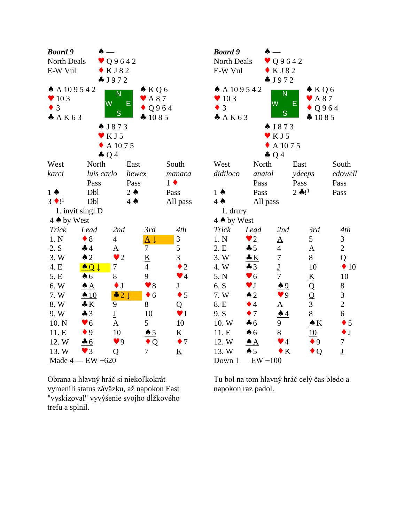| <b>Board</b> 9           | Ѧ                        |                          |                                 |                          | <b>Boa</b>                   |
|--------------------------|--------------------------|--------------------------|---------------------------------|--------------------------|------------------------------|
| North Deals              |                          | $\bullet$ Q9642          |                                 |                          | Nor                          |
| E-W Vul                  |                          | KJ82                     |                                 |                          | E-V                          |
|                          |                          | J972                     |                                 |                          |                              |
| A 109542                 |                          | $\overline{\mathsf{N}}$  | $\triangle$ KQ6                 |                          | $\clubsuit$ $\angle$         |
| $\blacktriangledown$ 103 |                          | $\overline{\mathsf{W}}$  | $\blacktriangleright$ A 87<br>E |                          | $\blacktriangledown$ 1       |
| $\bullet$ 3              |                          | S                        |                                 | Q964                     | $\overline{3}$               |
| A K 63                   |                          |                          | 41085                           |                          | $\clubsuit$ $\measuredangle$ |
|                          |                          | $\bullet$ J873           |                                 |                          |                              |
|                          |                          | $\mathbf{V}$ K J 5       |                                 |                          |                              |
|                          |                          | $\triangle$ A 1075       |                                 |                          |                              |
|                          |                          | $\clubsuit$ Q 4          |                                 |                          |                              |
| West                     | North                    |                          | East                            | South                    | We:                          |
| karci                    | luis carlo               |                          | hewex                           | manaca                   | didi                         |
|                          | Pass                     |                          | Pass                            | $1 \bullet$              |                              |
| $1 \spadesuit$           | Dbl                      |                          | $2 \triangle$                   | Pass                     | $1 \spadesuit$               |
| $3 \cdot 11$             | Dbl                      |                          | $4 \spadesuit$                  | All pass                 | $4 \spadesuit$               |
|                          | 1. invit singl D         |                          |                                 |                          | $\mathbf{1}$                 |
| 4 A by West              |                          |                          |                                 |                          | $4 \spadesuit$               |
| <b>Trick</b>             | Lead                     | 2nd                      | 3rd                             | 4th                      | Tric                         |
| 1. N                     | $\bullet$ 8              | $\overline{4}$           | $\underline{A}\downarrow$       | 3                        | 1. <b>N</b>                  |
| 2. S                     | $\clubsuit$ 4            | ${\underline{\rm A}}$    | 7                               | 5                        | 2.E                          |
| 3. W                     | $\triangle$ 2            | $\bullet$ 2              | $\underline{\mathbf{K}}$        | 3                        | 3. V                         |
| 4. E                     | $\bullet$ Q $\downarrow$ | 7                        | $\overline{4}$                  | $\bullet$ 2              | 4. V                         |
| 5. E                     | $\clubsuit$ 6            | 8                        | $\overline{9}$                  | $\blacktriangledown$ 4   | 5. N                         |
| 6. W                     | $\triangle A$            | $\bullet$ J              | $\blacktriangledown 8$          | J                        | 6. S                         |
| 7. W                     | $\triangle$ 10           | $\div$ 2 $\downarrow$    | 6<br>$\blacklozenge$            | $\bullet$ 5              | 7. V                         |
| 8.W                      | $\frac{.}{.}$ K          | 9                        | 8                               | Q                        | 8. E                         |
| 9.W                      | $\clubsuit$ 3            | $\underline{\mathbf{J}}$ | 10                              | $\blacktriangledown$ J   | 9. S                         |
| 10. N                    | $\blacktriangledown 6$   | $\overline{\mathbf{A}}$  | 5                               | 10                       | 10.                          |
| 11. E                    | $\bullet$ 9              | 10                       | $\triangle$ 5                   | K                        | 11.                          |
| 12. W                    | 46                       | $\blacktriangledown$ 9   | Q                               | $\bullet$ 7              | 12.                          |
| 13.W                     | $\blacktriangledown$ 3   | Q                        | 7                               | $\underline{\mathbf{K}}$ | 13.                          |
|                          | Made $4$ - EW +620       |                          |                                 |                          | Doy                          |

Obrana a hlavný hráč si niekoľkokrát vymenili status záväzku, až napokon East "vyskízoval" vyvýšenie svojho dĺžkového trefu a splnil.

| <b>Board</b> 9<br>North Deals<br>E-W Vul<br>A 10 9 5 4 2<br>$\blacktriangledown$ 10 3<br>$\bullet$ 3<br>A K 63 |                        | Q9642<br>KJ82<br>J972<br>N<br>W<br>S | $\bullet$ KQ6<br>$\blacktriangleright$ A 87<br>Е<br>Q964<br>41085 |                          |  |
|----------------------------------------------------------------------------------------------------------------|------------------------|--------------------------------------|-------------------------------------------------------------------|--------------------------|--|
|                                                                                                                |                        | $\bullet$ J873                       |                                                                   |                          |  |
|                                                                                                                |                        | KJ5                                  |                                                                   |                          |  |
|                                                                                                                |                        | A 1075                               |                                                                   |                          |  |
|                                                                                                                |                        | $\clubsuit$ Q 4                      |                                                                   |                          |  |
| West                                                                                                           | North                  |                                      | East                                                              | South                    |  |
| didiloco                                                                                                       | anatol                 |                                      | ydeeps                                                            | edowell                  |  |
|                                                                                                                | Pass                   |                                      | Pass                                                              | Pass                     |  |
| $1 \spadesuit$                                                                                                 | Pass                   |                                      | $2 * !1$                                                          | Pass                     |  |
| $4 \spadesuit$                                                                                                 | All pass               |                                      |                                                                   |                          |  |
| 1. drury                                                                                                       |                        |                                      |                                                                   |                          |  |
| 4 A by West                                                                                                    |                        |                                      |                                                                   |                          |  |
| <b>Trick</b>                                                                                                   | Lead                   | 2nd                                  | 3rd                                                               | 4th                      |  |
| 1. N                                                                                                           | $\bullet$ 2            | <u>A</u>                             | 5                                                                 | 3                        |  |
| 2. E                                                                                                           | 45                     | $\overline{4}$                       | ${\underline{\rm A}}$                                             | $\overline{c}$           |  |
| 3.W                                                                                                            | $\clubsuit K$          | 7                                    | 8                                                                 | Q                        |  |
| 4. W                                                                                                           | $\clubsuit$ 3          | $rac{J}{7}$                          | 10                                                                | $\div 10$                |  |
| 5. N                                                                                                           | $\blacktriangledown 6$ |                                      | $\underline{\mathbf{K}}$                                          | 10                       |  |
| 6. S                                                                                                           | $\blacktriangledown$ J | $\triangle 9$                        | Q                                                                 | 8                        |  |
| 7. W                                                                                                           | $\triangle$ 2          | $\bullet$ 9                          | $\overline{Q}$                                                    | 3                        |  |
| 8. E                                                                                                           | $\bullet$ 4            | $\frac{A}{\bullet 4}$                | 3                                                                 | $\overline{c}$           |  |
| 9. S                                                                                                           | $\bullet$ 7            |                                      | 8                                                                 | 6                        |  |
| 10.W                                                                                                           | $\clubsuit$ 6          | 9                                    | $\triangle K$                                                     | $\bullet$ 5              |  |
| 11. E                                                                                                          | $\clubsuit$ 6          | 8                                    | 10                                                                | $\bullet$ J              |  |
| 12. W                                                                                                          | $\triangle A$          | $\blacktriangledown$ 4               | $\bullet$ 9                                                       | 7                        |  |
| 13. W                                                                                                          | $\spadesuit$ 5         | $\bf K$                              | $\bullet$ Q                                                       | $\underline{\mathbf{J}}$ |  |
| Down $1$ — ${\rm EW}$ –100                                                                                     |                        |                                      |                                                                   |                          |  |

Tu bol na tom hlavný hráč celý čas bledo a napokon raz padol.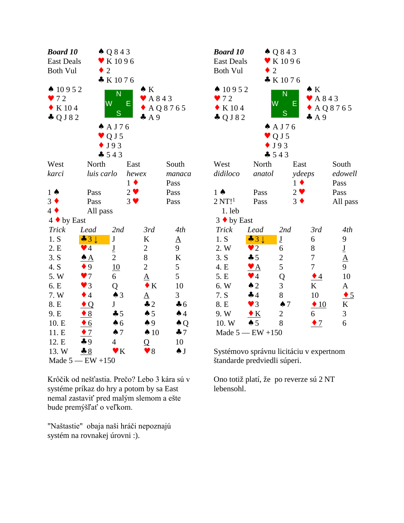| <b>Board 10</b>          |                        | $\triangle Q843$             |                 |                             | <b>Boar</b>     |
|--------------------------|------------------------|------------------------------|-----------------|-----------------------------|-----------------|
| <b>East Deals</b>        |                        | $\blacktriangleright$ K 1096 |                 |                             | East 1          |
| <b>Both Vul</b>          |                        | $\overline{2}$               |                 |                             | <b>Both</b>     |
|                          |                        | * K1076                      |                 |                             |                 |
| $\spadesuit$ 10952       |                        | N                            | $\bullet K$     |                             | $\spadesuit$ 10 |
| 972                      |                        | W                            | Е               | $\blacktriangleright$ A 843 | 972             |
| K 104<br>$\blacklozenge$ |                        |                              |                 | $\triangle$ AQ8765          | $\bullet K$     |
| $\clubsuit$ Q J 8 2      |                        | S                            | A9              |                             | $\clubsuit$ Q.  |
|                          |                        | $A$ A J 76                   |                 |                             |                 |
|                          |                        | $\vee$ Q J 5                 |                 |                             |                 |
|                          |                        | $\bullet$ J93                |                 |                             |                 |
|                          |                        | $-543$                       |                 |                             |                 |
| West                     | North                  |                              | East            | South                       | West            |
| karci                    | luis carlo             |                              | hewex           | manaca                      | didilo          |
|                          |                        |                              | $1 \bullet$     | Pass                        |                 |
| $1 \spadesuit$           | Pass                   |                              | $2 \bullet$     | Pass                        | $1 \spadesuit$  |
| $3 \bullet$              | Pass                   |                              | $3 \vee$        | Pass                        | 2NT             |
| $4 \blacklozenge$        | All pass               |                              |                 |                             | 1.1             |
| 4 ◆ by East              |                        |                              |                 |                             | $3 \bullet 1$   |
| <b>Trick</b>             | Lead                   | 2nd                          | 3rd             | 4th                         | Tricl           |
| 1. S                     | $-31$                  | $\bf J$                      | K               | $\Delta$                    | 1. S            |
| 2. E                     | $\blacktriangledown$ 4 | $\underline{\mathbf{J}}$     | $\overline{2}$  | 9                           | 2. W            |
| 3. S                     | <u>♠ A</u>             | $\overline{2}$               | 8               | K                           | 3. S            |
| 4. S                     | $\bullet$ 9            | 10                           | $\overline{c}$  | 5                           | 4. E            |
| 5.W                      | $\blacktriangledown$   | 6                            | $\underline{A}$ | 5                           | 5. E            |
| 6. E                     | $\blacktriangledown$ 3 | Q                            | $\bullet K$     | 10                          | 6. W            |
| 7. W                     | $\bullet$ 4            | $\spadesuit$ 3               | $\underline{A}$ | 3                           | 7. S            |
| 8. E                     | $\bullet$ Q            | J                            | $\clubsuit$ 2   | $\clubsuit$ 6               | 8. E            |
| 9. E                     | $\triangle$            | 45                           | $\spadesuit 5$  | $\spadesuit$ 4              | 9. W            |
| 10. E                    | $\bullet$ 6            | $\spadesuit$ 6               | $\spadesuit$ 9  | $\triangle Q$               | 10.5            |
| 11. E                    | $\bullet$ 7            | $\spadesuit$ 7               | $\spadesuit$ 10 | $\clubsuit$ 7               | Mad             |
| 12. E                    | $\clubsuit$ 9          | $\overline{4}$               | Q               | 10                          |                 |
| 13. W                    | 8                      | $\blacktriangledown K$       | $\bullet$ 8     | $\spadesuit$ J              | Systé           |
| Made $5 - EW + 150$      |                        |                              |                 |                             | štand           |

Krôčik od nešťastia. Prečo? Lebo 3 kára sú v systéme príkaz do hry a potom by sa East nemal zastaviť pred malým slemom a ešte bude premýšľať o veľkom.

"Naštastie" obaja naši hráči nepoznajú systém na rovnakej úrovni :).

| <b>Board 10</b>     |                            | $\triangle Q843$            |                             |                          |  |
|---------------------|----------------------------|-----------------------------|-----------------------------|--------------------------|--|
| <b>East Deals</b>   |                            | $\blacktriangledown$ K 1096 |                             |                          |  |
| <b>Both Vul</b>     | $\bullet$ 2                |                             |                             |                          |  |
|                     |                            | K1076                       |                             |                          |  |
| $\spadesuit$ 10952  |                            | N                           | $\bullet K$                 |                          |  |
| $\bullet$ 72        | W                          |                             | $\blacktriangleright$ A 843 |                          |  |
| K 104               |                            | Е                           |                             | $\triangle$ AQ8765       |  |
| $\clubsuit$ Q J 8 2 |                            | S                           | $\clubsuit$ A 9             |                          |  |
|                     |                            | A J76                       |                             |                          |  |
|                     |                            | $\vee$ Q J 5                |                             |                          |  |
|                     |                            | J93                         |                             |                          |  |
|                     | $-543$                     |                             |                             |                          |  |
| West                | North                      | East                        |                             | South                    |  |
| didiloco            | anatol                     | ydeeps                      |                             | edowell                  |  |
|                     |                            | $1 \bullet$                 |                             | Pass                     |  |
| $1 \spadesuit$      | Pass                       | $2 \bullet$                 |                             | Pass                     |  |
| 2 N T!              | Pass                       | $3 \bullet$                 |                             | All pass                 |  |
| $1.$ leb            |                            |                             |                             |                          |  |
| $3 \cdot by East$   |                            |                             |                             |                          |  |
| Trick               | Lead                       | 2nd                         | 3rd                         | 4th                      |  |
| 1. S                | $\clubsuit$ 3 $\downarrow$ | $\underline{\mathrm{J}}$    | 6                           | 9                        |  |
| 2. W                | $\bullet$ 2                | 6                           | 8                           | $\underline{\mathbf{J}}$ |  |
| 3. S                | 45                         | $\overline{c}$              | 7                           | $\overline{A}$           |  |
| 4. E                | $\mathbf{A}$               | 5                           | 7                           | 9                        |  |
| 5. E                | $\blacktriangledown$ 4     | Q                           | $\bullet$ 4                 | 10                       |  |
| 6. W                | $\triangle$ 2              | 3                           | K                           | ${\underline{\rm A}}$    |  |
| 7. S                | 44                         | 8                           | 10                          | $\bullet$ 5              |  |
| 8. E                | $\blacktriangledown$ 3     | $\spadesuit$ 7              | $\triangle$ 10              | K                        |  |
| 9. W                | $\bullet K$                | $\overline{2}$              | 6                           | 3                        |  |
| 10. W               | $\spadesuit$ 5             | 8                           | $\bullet$ 7                 | 6                        |  |
|                     | Made $5 - EW + 150$        |                             |                             |                          |  |

Systémovo správnu licitáciu v expertnom štandarde predviedli súperi. Made 5 — EW +150<br>Systémovo správnu licitáciu v expertnom<br>štandarde predviedli súperi.<br>Ono totiž platí, že po reverze sú 2 NT<br>lebensohl.

lebensohl.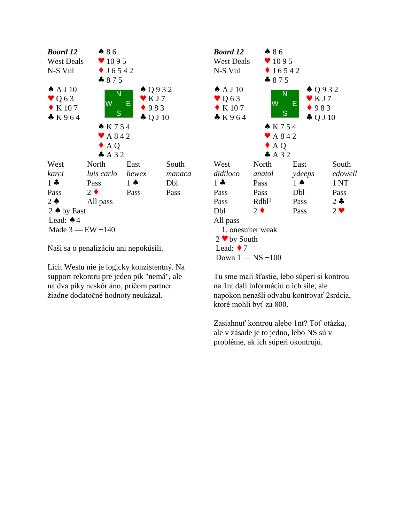

Naši sa o penalizáciu ani nepokúsili.

Licit Westu nie je logicky konzistentný. Na support rekontru pre jeden pik "nemá", ale na dva piky neskôr áno, pričom partner žiadne dodatočné hodnoty neukázal.



Tu sme mali šťastie, lebo súperi si kontrou na 1nt dali informáciu o ich sile, ale napokon nenašli odvahu kontrovať 2srdcia, ktoré mohli byť za 800.

Zasiahnuť kontrou alebo 1nt? Toť otázka, ale v zásade je to jedno, lebo NS sú v probléme, ak ich súperi okontrujú.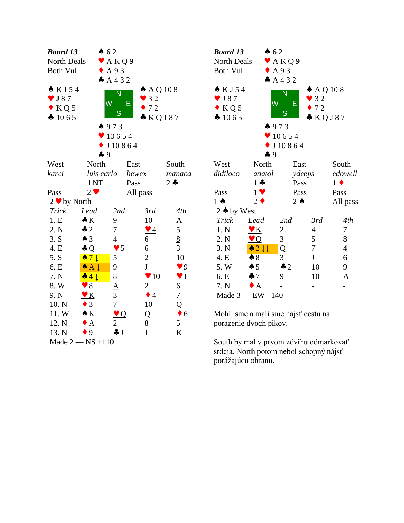| <b>Board 13</b>    |                            | $\bullet$ 62    |                         |                                                   | <b>Boa</b>             |
|--------------------|----------------------------|-----------------|-------------------------|---------------------------------------------------|------------------------|
| North Deals        |                            | A K Q 9         |                         |                                                   | Nor                    |
| <b>Both Vul</b>    |                            | $\triangle$ A93 |                         |                                                   | <b>Bot</b>             |
|                    |                            | A432            |                         |                                                   |                        |
| $\bullet$ KJ54     |                            | N               | $\triangle$ AQ 108      |                                                   | $\bullet$ F            |
| J 87<br>v.         |                            | Ŵ               | $\bullet$ 32            |                                                   | $\blacktriangledown$ J |
| $\bullet$ KQ5      |                            |                 | Е<br>$\bullet$ 72       |                                                   | $\bullet$ F            |
| 41065              |                            | S               | * KQJ87                 |                                                   | $\clubsuit$ 1          |
|                    |                            | 4973            |                         |                                                   |                        |
|                    |                            | 10654           |                         |                                                   |                        |
|                    |                            | J10864          |                         |                                                   |                        |
|                    | 49                         |                 |                         |                                                   |                        |
| West               | North                      |                 | East                    | South                                             | We:                    |
| karci              | luis carlo                 |                 | hewex                   | manaca                                            | didi                   |
|                    | 1 <sub>NT</sub>            |                 | Pass                    | $2 -$                                             |                        |
| Pass               | $2 \bullet$                |                 | All pass                |                                                   | Pas:                   |
| $2 \cdot by North$ |                            |                 |                         |                                                   | $1 \spadesuit$         |
| <b>Trick</b>       | Lead                       | 2nd             | 3rd                     | 4th                                               | 2 <sub>4</sub>         |
| 1.E                | $\clubsuit K$              | 9               | 10                      | $\underline{A}$                                   | Tri                    |
| 2. N               | $\clubsuit$ 2              | $\overline{7}$  | $\blacktriangledown$ 4  | 5                                                 | 1.1                    |
| 3. S               | $\triangle$ 3              | $\overline{4}$  | 6                       | $\frac{8}{3}$                                     | 2.1                    |
| 4. E               | $\clubsuit$ Q              | $\frac{95}{2}$  | 6                       |                                                   | 3.1                    |
| 5. S               | $\bullet 7 \downarrow$     | 5               | $\overline{c}$          | 10                                                | 4.1                    |
| 6. E               | $\bullet$ A $\downarrow$   | 9               | $\mathbf{J}$            | 9                                                 | 5.                     |
| 7. N               | $-41$                      | 8               | $\blacktriangledown 10$ | $\underline{\mathbf{v}}$ $\underline{\mathbf{J}}$ | 6.]                    |
| 8.W                | $\blacktriangledown 8$     | $\underline{A}$ | $\overline{2}$          | 6                                                 | 7.1                    |
| 9. N               | $\underline{\mathbf{v}}$ K | 3               | $\bullet$ 4             | $\boldsymbol{7}$                                  | $M\varepsilon$         |
| 10. N              | $\bullet$ 3                | $\overline{7}$  | 10                      | $\overline{Q}$                                    |                        |
| 11.W               | $\bullet K$                | $\vee Q$        | Q                       | $\bullet$ 6                                       | Mol                    |
| 12. N              | $\bullet$ A                | 2               | 8                       | 5                                                 | pora                   |
| 13. N              | $\bullet$ 9                | $\clubsuit$ J   | $\mathbf{J}$            | $\underline{K}$                                   |                        |
|                    | Made $2 - NS + 110$        |                 |                         |                                                   | Sou                    |

| <b>Board 13</b>                                                     | $\spadesuit$ 62                                   |                                 |                                                               |                          |  |
|---------------------------------------------------------------------|---------------------------------------------------|---------------------------------|---------------------------------------------------------------|--------------------------|--|
| North Deals                                                         |                                                   | $\blacktriangleright$ AKQ9      |                                                               |                          |  |
| <b>Both Vul</b>                                                     |                                                   | $\triangle$ A93                 |                                                               |                          |  |
|                                                                     |                                                   | A432                            |                                                               |                          |  |
| $\bullet$ KJ54<br>$\vee$ J 87<br>$\bullet$ KQ 5<br>$\clubsuit$ 1065 | W<br>4973                                         | N<br>E<br>S<br>10654<br>J 10864 | $\triangle$ AQ 108<br>$\bullet$ 32<br>$\bullet$ 72<br>& KQJ87 |                          |  |
|                                                                     | 49                                                |                                 |                                                               |                          |  |
| West                                                                | North                                             |                                 | East                                                          | South                    |  |
| didiloco                                                            | anatol                                            |                                 | ydeeps                                                        | edowell                  |  |
|                                                                     | $1 -$                                             |                                 | Pass                                                          | $1 \bullet$              |  |
| Pass                                                                | $1 \vee$                                          |                                 | Pass                                                          | Pass                     |  |
| $1 \spadesuit$                                                      | $2 \bullet$                                       | $2 \triangle$                   |                                                               | All pass                 |  |
| 2 $\triangle$ by West                                               |                                                   |                                 |                                                               |                          |  |
| Trick                                                               | Lead                                              | 2nd                             | 3rd                                                           | 4th                      |  |
| 1. N                                                                | $\underline{\mathbf{v}}$ $\underline{\mathbf{K}}$ | $\overline{c}$                  | 4                                                             | 7                        |  |
| 2. N                                                                | $\bullet$ Q                                       | 3                               | 5                                                             | 8                        |  |
| 3. N                                                                | $\triangle 2 \downarrow \downarrow$               | Q                               | 7                                                             | 4                        |  |
| 4. E                                                                | $\clubsuit 8$                                     | 3                               | $\underline{\mathbf{J}}$                                      | 6                        |  |
| 5. W                                                                | $\spadesuit$ 5                                    | $\clubsuit$ 2                   | 10                                                            | 9                        |  |
| 6. E                                                                | $\clubsuit$ 7                                     | 9                               | 10                                                            | $\underline{\mathrm{A}}$ |  |
| 7. N                                                                | $\bullet$ A                                       |                                 |                                                               |                          |  |
| Made $3$ — EW +140                                                  |                                                   |                                 |                                                               |                          |  |

Mohli sme a mali sme nájsť cestu na porazenie dvoch pikov.

South by mal v prvom zdvihu odmarkovať srdcia. North potom nebol schopný nájsť porážajúcu obranu.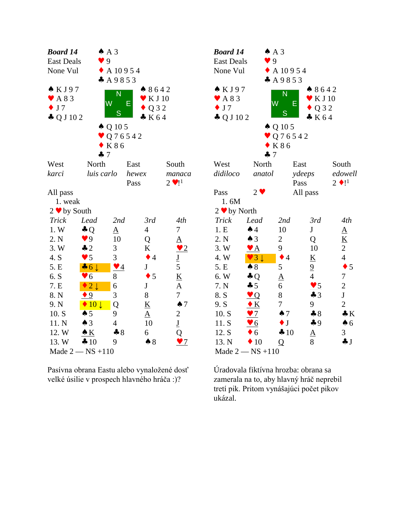| <b>Board 14</b>                    |                                 | $AA$ 3                   |                          |                          | <b>Boa</b>      |
|------------------------------------|---------------------------------|--------------------------|--------------------------|--------------------------|-----------------|
| <b>East Deals</b>                  |                                 | 9                        |                          |                          | Eas             |
| None Vul                           |                                 | $\triangle$ A 10954      |                          |                          | Nor             |
|                                    |                                 | A9853                    |                          |                          |                 |
| KJ97                               |                                 |                          | 8642                     |                          | $\bullet$ F     |
| $\blacktriangledown$ A 8 3         |                                 | N                        | K J 10                   |                          | V A             |
| J <sub>7</sub><br>$\ddot{\bullet}$ |                                 | W<br>Ε                   | Q 3 2                    |                          | $\mathbf{J}$    |
| $\clubsuit$ Q J 10 2               |                                 | S                        | K64                      |                          | $\clubsuit$ (   |
|                                    |                                 | $\triangle$ Q 10 5       |                          |                          |                 |
|                                    |                                 | $\bullet$ Q 7 6 5 4 2    |                          |                          |                 |
|                                    |                                 | K 8 6                    |                          |                          |                 |
|                                    | 47                              |                          |                          |                          |                 |
| West                               | North                           |                          | East                     | South                    | We:             |
| karci                              | luis carlo                      |                          | hewex                    | manaca                   | didi            |
|                                    |                                 |                          | Pass                     | $2 \cdot 1^1$            |                 |
| All pass                           |                                 |                          |                          |                          | Pas:            |
| 1. weak                            |                                 |                          |                          |                          | 1               |
| $2 \bullet by South$               |                                 |                          |                          |                          | $2 \bullet$     |
| Trick                              | Lead                            | 2nd                      | 3rd                      | 4th                      | Trie            |
| 1. W                               | $\clubsuit$ Q                   | <u>A</u>                 | $\overline{4}$           | $\sqrt{ }$               | 1.E             |
| 2. N                               | $\blacktriangledown$ 9          | 10                       | Q                        | $\underline{A}$          | 2. <i>N</i>     |
| 3. W                               | $\clubsuit$ 2                   | 3                        | K                        | $\frac{1}{2}$            | $3. \mathrm{V}$ |
| 4. S                               | $\blacktriangledown$ 5          | 3                        | $\bullet$ 4              | $\underline{\mathbf{J}}$ | $4. \mathrm{V}$ |
| 5. E                               | $\clubsuit$ 6 $\downarrow$      | $\blacktriangledown$ $4$ | J                        | 5                        | 5. E            |
| 6. S                               | 6<br>Y                          | 8                        | $\bullet$ 5              | $\underline{\mathbf{K}}$ | 6. V            |
| 7. E                               | $\overline{2}\downarrow$        | 6                        | ${\bf J}$                | $\underline{A}$          | $7. 3$          |
| 8. N                               | 9                               | 3                        | 8                        | $\overline{7}$           | 8. S            |
| 9. N                               | $\blacklozenge$ 10 $\downarrow$ | Q                        | $\underline{\mathbf{K}}$ | $\spadesuit$ 7           | 9.5             |
| 10. S                              | $\spadesuit$ 5                  | 9                        | $\underline{A}$          | $\overline{c}$           | 10.             |
| 11. N                              | $\triangle$ 3                   | $\overline{4}$           | 10                       | $\underline{\mathbf{J}}$ | 11.             |
| 12. W                              | $\triangle K$                   | $\clubsuit 8$            | 6                        | Q                        | 12.             |
| 13. W                              | $\clubsuit 10$                  | 9                        | $\clubsuit 8$            | $\sqrt{7}$               | 13.             |
|                                    | Made $2 - NS + 110$             |                          |                          |                          | Ma              |

Pasívna obrana Eastu alebo vynaložené dosť velké úsilie v prospech hlavného hráča :)?

| <b>Board 14</b>      | $AA$ 3                 |                       |                          |                          |  |
|----------------------|------------------------|-----------------------|--------------------------|--------------------------|--|
| <b>East Deals</b>    | 9                      |                       |                          |                          |  |
| None Vul             |                        | $\triangle$ A 10954   |                          |                          |  |
|                      |                        | A9853                 |                          |                          |  |
| $\triangle$ KJ97     |                        | N                     | $* 8642$                 |                          |  |
| A 8 3                |                        |                       | $\mathbf{V}$ K J 10      |                          |  |
| $\bullet$ J7         | W                      | Ε                     | Q 3 2                    |                          |  |
| $\clubsuit$ Q J 10 2 |                        | S                     | K64                      |                          |  |
|                      |                        | $\spadesuit$ Q 10 5   |                          |                          |  |
|                      |                        | $\bullet$ Q 7 6 5 4 2 |                          |                          |  |
|                      |                        | K 8 6                 |                          |                          |  |
|                      | 47                     |                       |                          |                          |  |
| West                 | North                  | East                  |                          | South                    |  |
| didiloco             | anatol                 | ydeeps                |                          | edowell                  |  |
|                      |                        | Pass                  |                          | $2 \bullet 1^1$          |  |
| Pass                 | $2 \bullet$            |                       | All pass                 |                          |  |
| 1.6M                 |                        |                       |                          |                          |  |
| $2 \cdot by North$   |                        |                       |                          |                          |  |
| <b>Trick</b>         | Lead                   | 2nd                   | 3rd                      | 4th                      |  |
| 1.E                  | $\spadesuit$ 4         | 10                    | ${\bf J}$                | $\underline{A}$          |  |
| 2. N                 | $\triangle$ 3          | $\overline{c}$        | Q                        | $\underline{\mathbf{K}}$ |  |
| 3. W                 | $\blacktriangledown$ A | 9                     | 10                       | $\overline{c}$           |  |
| 4.W                  | $\vee$ 3 $\downarrow$  | $\overline{4}$<br>٠   | $\underline{\mathbf{K}}$ | $\overline{4}$           |  |
| 5. E                 | $\clubsuit 8$          | 5                     | $\overline{9}$           | $\bullet$ 5              |  |
| 6. W                 | $\clubsuit$ Q          | <u>A</u>              | $\overline{4}$           | $\tau$                   |  |
| 7. N                 | $\clubsuit$ 5          | 6                     | $\frac{95}{2}$           | $\overline{2}$           |  |
| 8. S                 | $\vee$ Q               | 8                     | $\clubsuit$ 3            | $\mathbf J$              |  |
| 9. S                 | $\bullet K$            | 7                     | 9                        | $\overline{2}$           |  |
| 10. S                | $\bullet$ 7            | $\spadesuit$ 7        | $\clubsuit 8$            | $\clubsuit K$            |  |
| 11. S                | $\bullet$ 6            | $\bullet$ J           | $\clubsuit$ 9            | $\clubsuit$ 6            |  |
| 12. S                | $\bullet$ 6            | 410                   | $\underline{A}$          | 3                        |  |
| 13. N                | $\blacklozenge$ 10     | Q                     | 8                        | $\clubsuit$ J            |  |
|                      | Made $2 - NS + 110$    |                       |                          |                          |  |

Úradovala fiktívna hrozba: obrana sa zamerala na to, aby hlavný hráč neprebil tretí pik. Pritom vynášajúci počet pikov ukázal.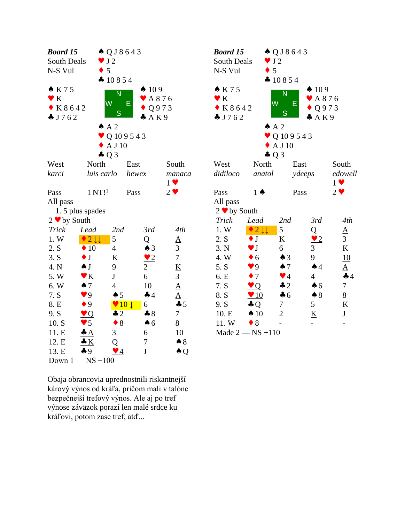| <b>Board 15</b>     |                           | $\triangle Q$ J 8 6 4 3 |                                 |                          | <b>Boar</b>     |
|---------------------|---------------------------|-------------------------|---------------------------------|--------------------------|-----------------|
| South Deals         |                           | $\bullet$ J2            |                                 |                          | South           |
| N-S Vul             |                           | 5                       |                                 |                          | $N-S$           |
|                     |                           | $\clubsuit$ 10854       |                                 |                          |                 |
| K75                 |                           | N                       | $\spadesuit$ 109                |                          | $\bullet K$     |
| $\bullet K$         |                           | W                       | $\blacktriangleright$ A876<br>Е |                          | $\bullet K$     |
| $\bullet$ K 8 6 4 2 |                           |                         |                                 | Q973                     | K               |
| J762                |                           | S                       | A K 9                           |                          | $\clubsuit$ J 7 |
|                     |                           | $AA$ 2                  |                                 |                          |                 |
|                     |                           |                         | $\bullet$ Q 109543              |                          |                 |
|                     |                           | $\triangle$ A J 10      |                                 |                          |                 |
|                     |                           | $\clubsuit$ Q 3         |                                 |                          |                 |
| West                | North                     |                         | East                            | South                    | West            |
| karci               | luis carlo                |                         | hewex                           | manaca                   | didilo          |
|                     |                           |                         |                                 | $1 \vee$                 |                 |
| Pass                | 1 N T!                    |                         | Pass                            | $2 \vee$                 | Pass            |
| All pass            |                           |                         |                                 |                          | All p           |
|                     | 1.5 plus spades           |                         |                                 |                          | $2 \vee$        |
| $2 \cdot by South$  |                           |                         |                                 |                          | Tricl           |
| <b>Trick</b>        | Lead                      | 2nd                     | 3rd                             | 4th                      | 1. W            |
| 1.W                 | $2 \downarrow \downarrow$ | 5                       | Q                               | $\underline{A}$          | 2. S            |
| 2. S                | $\triangleq 10$           | $\overline{4}$          | $\triangle$ 3                   | 3                        | 3. N            |
| 3. S                | $\bullet$ J               | K                       | $\bullet$ 2                     | $\overline{7}$           | 4. W            |
| 4. N                | $\clubsuit$ J             | 9                       | $\overline{2}$                  | $\underline{\mathbf{K}}$ | 5. S            |
| 5. W                | $\blacktriangledown K$    | $\mathbf{J}$            | 6                               | $\overline{3}$           | 6. E            |
| 6. W                | $\spadesuit$ 7            | $\overline{4}$          | 10                              | $\underline{A}$          | 7. S            |
| 7. S                | $\bullet$ 9               | $\spadesuit$ 5          | $\clubsuit$ 4                   | $\underline{A}$          | 8. S            |
| 8. E                | $\bullet$ 9               | $\vee$ 10 $\downarrow$  | 6                               | 45                       | 9. S            |
| 9. S                | $\bullet Q$               | $\clubsuit$ 2           | $\clubsuit 8$                   | $\overline{7}$           | 10.E            |
| 10. S               | $\bullet$ 5               | $\bullet$ 8             | $\spadesuit$ 6                  | 8                        | 11.             |
| 11. E               | $\clubsuit$ $A$           | 3                       | 6                               | 10                       | Mad             |
| 12. E               | $\bullet K$               | Q                       | 7                               | $\clubsuit 8$            |                 |
| 13. E               | $\clubsuit$ 9             | $\blacktriangledown$ 4  | $\bf J$                         | $\triangle Q$            |                 |
|                     | Down $1 - NS - 100$       |                         |                                 |                          |                 |

Obaja obrancovia uprednostnili riskantnejší kárový výnos od kráľa, pričom mali v talóne bezpečnejší trefový výnos. Ale aj po tref výnose záväzok porazí len malé srdce ku kráľovi, potom zase tref, atď...

| <b>Board 15</b><br>South Deals | $\bullet$ J2                   | $\triangle Q$ J 8 6 4 3 |                             |                          |  |
|--------------------------------|--------------------------------|-------------------------|-----------------------------|--------------------------|--|
| N-S Vul                        | $\bullet$ 5                    |                         |                             |                          |  |
|                                |                                | 410854                  |                             |                          |  |
| $\bullet K75$                  |                                |                         | $\spadesuit$ 109            |                          |  |
| $\bullet K$                    |                                | N                       | $\blacktriangleright$ A 876 |                          |  |
| $\bullet$ K 8 6 4 2            | W                              | Ε                       | $\bullet$ Q973              |                          |  |
| J762                           |                                | S                       | A K 9                       |                          |  |
|                                | $A^2$                          |                         |                             |                          |  |
|                                |                                | $\bullet$ Q 109543      |                             |                          |  |
|                                |                                | A J 10                  |                             |                          |  |
|                                | $\clubsuit$ Q 3                |                         |                             |                          |  |
| West                           | North                          |                         | East                        | South                    |  |
| didiloco                       | anatol                         |                         | ydeeps                      | edowell                  |  |
|                                |                                |                         |                             | $1 \vee$                 |  |
| Pass                           | $1 \spadesuit$                 |                         | Pass                        | $2 \bullet$              |  |
| All pass                       |                                |                         |                             |                          |  |
| $2 \cdot by South$             |                                |                         |                             |                          |  |
| Trick                          | Lead                           | 2nd                     | 3rd                         | 4th                      |  |
| 1. W                           | $\sqrt{2}\downarrow\downarrow$ | 5                       | Q                           | $\underline{A}$          |  |
| 2. S                           | $\bullet$ J                    | $\bf K$                 | $\bullet$ 2                 | 3                        |  |
| 3. N                           | $\blacktriangledown$ J         | 6                       | 3                           | $\underline{\mathbf{K}}$ |  |
| 4. W                           | $\bullet$ 6                    | $\triangle$ 3           | 9                           | 10                       |  |
| 5. S                           | $\bullet$ 9                    | $\clubsuit$ 7           | $\spadesuit$ 4              | $\underline{A}$          |  |
| 6. E                           | $\bullet$ 7                    | $\blacktriangledown$ 4  | $\overline{4}$              | 44                       |  |
| 7. S                           | Q                              | $\clubsuit$ 2           | $\clubsuit$ 6               | $\boldsymbol{7}$         |  |
| 8. S                           | $\sqrt{10}$                    | $\clubsuit$ 6           | $\clubsuit 8$               | 8                        |  |
| 9. S                           | $\clubsuit$ Q                  | 7                       | 5                           | <u>K</u>                 |  |
| 10. E                          | $\spadesuit$ 10                | $\overline{2}$          | $\underline{\mathbf{K}}$    | J                        |  |
| 11.W                           | $\bullet$ 8                    |                         |                             |                          |  |
|                                | Made $2 - NS + 110$            |                         |                             |                          |  |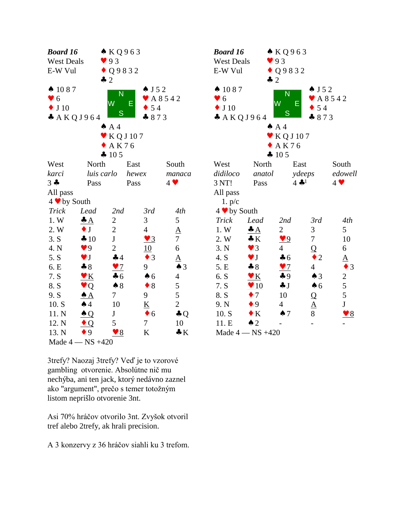| <b>Board 16</b>      |                        | $\triangle$ KQ963       |                          |                     | <b>Boar</b>     |
|----------------------|------------------------|-------------------------|--------------------------|---------------------|-----------------|
| <b>West Deals</b>    |                        | 93                      |                          |                     | West            |
| E-W Vul              |                        | $\bullet$ Q 9 8 3 2     |                          |                     | $E-W$           |
|                      |                        | $\clubsuit$ 2           |                          |                     |                 |
| $\spadesuit$ 1087    |                        | $\overline{\mathsf{N}}$ | $\bullet$ J 5 2          |                     | $\spadesuit$ 10 |
| $\bullet$ 6          |                        | W                       |                          | $\bullet$ A 8 5 4 2 | $\bullet$ 6     |
| $\blacklozenge$ J 10 |                        |                         | E<br>$\bullet$ 54        |                     | $\bullet$ J 1   |
|                      | A K Q J 964            | S                       | $-873$                   |                     | $\clubsuit$ $A$ |
|                      |                        | $AA$ 4                  |                          |                     |                 |
|                      |                        | KQ J 107                |                          |                     |                 |
|                      |                        | AK76                    |                          |                     |                 |
|                      |                        | 4 105                   |                          |                     |                 |
| West                 | North                  |                         | East                     | South               | West            |
| karci                | luis carlo             |                         | hewex                    | manaca              | didilo          |
| $3 -$                | Pass                   |                         | Pass                     | $4 \vee$            | 3 NT            |
| All pass             |                        |                         |                          |                     | All p           |
| $4 \cdot by South$   |                        |                         |                          |                     | 1.1             |
| <b>Trick</b>         | Lead                   | 2nd                     | 3rd                      | 4th                 | $4 \vee$        |
| 1. W                 | $\triangleq$           | $\overline{2}$          | 3                        | 5                   | Tricl           |
| 2. W                 | $\bullet$ J            | $\mathbf{2}$            | $\overline{4}$           | $\underline{A}$     | 1. W            |
| 3. S                 | 410                    | $\mathbf{J}$            | $\blacktriangledown$ 3   | $\overline{7}$      | 2. W            |
| 4. N                 | $\blacktriangledown 9$ | $\mathbf{2}$            | 10                       | 6                   | 3. N            |
| 5. S                 | $\blacktriangledown$ J | 44                      | $\bullet$ 3              | $\underline{A}$     | 4. S            |
| 6. E                 | $\clubsuit 8$          | $\sqrt{7}$              | 9                        | $\triangle$ 3       | 5. E            |
| 7. S                 | $\bullet K$            | $\clubsuit$ 6           | $\spadesuit$ 6           | $\overline{4}$      | 6. S            |
| 8. S                 | $\vee$ Q               | $\clubsuit 8$           | $\bullet$ 8              | 5                   | 7. S            |
| 9. S                 | $\triangle A$          | $\tau$                  | 9                        | 5                   | 8. S            |
| 10. S                | $\clubsuit$ 4          | 10                      | $\underline{\mathbf{K}}$ | $\overline{c}$      | 9. N            |
| 11. N                | $\triangle Q$          | $\mathbf{J}$            | $\bullet$ 6              | $\clubsuit$ Q       | 10.5            |
| 12. N                | $\bullet$ Q            | 5                       | 7                        | 10                  | 11.E            |
| 13. N                | $\bullet$ 9            | $\bullet$ 8             | K                        | $\bullet K$         | Mad             |
|                      | Made $4 - NS +420$     |                         |                          |                     |                 |

3trefy? Naozaj 3trefy? Veď je to vzorové gambling otvorenie. Absolútne nič mu nechýba, ani ten jack, ktorý nedávno zaznel ako "argument", prečo s temer totožným listom neprišlo otvorenie 3nt.

Asi 70% hráčov otvorilo 3nt. Zvyšok otvoril tref alebo 2trefy, ak hrali precision.

A 3 konzervy z 36 hráčov siahli ku 3 trefom.

| <b>Board 16</b>   |                        | $\triangle$ KQ963      |                     |                            |  |
|-------------------|------------------------|------------------------|---------------------|----------------------------|--|
| <b>West Deals</b> |                        | 93                     |                     |                            |  |
| E-W Vul           |                        | $\bullet$ Q9832        |                     |                            |  |
|                   | $\clubsuit$ 2          |                        |                     |                            |  |
| $\spadesuit$ 1087 |                        |                        | $\bullet$ J 5 2     |                            |  |
| $\bullet$ 6       |                        | N                      | $\bullet$ A 8 5 4 2 |                            |  |
| $\bullet$ J 10    |                        | W                      | Ε<br>$\bullet$ 54   |                            |  |
| * AKQJ964         |                        | S                      | 873                 |                            |  |
|                   |                        | AA                     |                     |                            |  |
|                   |                        | $\bullet$ KQJ107       |                     |                            |  |
|                   |                        | AK76                   |                     |                            |  |
|                   |                        | 4 105                  |                     |                            |  |
| West              | North                  |                        | East                | South                      |  |
| didiloco          | anatol                 |                        | ydeeps              | edowell                    |  |
| 3 NT!             | Pass                   |                        | $4 - 1$             | $4$ $\blacktriangledown$   |  |
| All pass          |                        |                        |                     |                            |  |
| 1. p/c            |                        |                        |                     |                            |  |
| 4 v by South      |                        |                        |                     |                            |  |
| <b>Trick</b>      | Lead                   | 2nd                    | 3rd                 | 4th                        |  |
| 1. W              | $\clubsuit A$          | 2                      | 3                   | 5                          |  |
| 2. W              | $\bullet K$            | $\blacktriangledown 9$ | $\boldsymbol{7}$    | 10                         |  |
| 3. N              | $\vee$ 3               | $\overline{4}$         | Q                   | 6                          |  |
| 4. S              | $\blacktriangledown$ J | $\clubsuit$ 6          | $\overline{2}$      | $\Delta$                   |  |
| 5. E              | $\clubsuit 8$          | $\frac{97}{2}$         | $\overline{4}$      | 3                          |  |
| 6. S              | $\bullet K$            | $\clubsuit$ 9          | $\triangle$ 3       |                            |  |
| 7. S              | $\bullet$ 10           | $\clubsuit$ J          | $\clubsuit$ 6       | $rac{2}{5}$                |  |
| 8. S              | $\bullet$ 7            | 10                     |                     | 5                          |  |
| 9. N              | $\bullet$ 9            | $\overline{4}$         | Q                   | $\mathbf{J}$               |  |
|                   | $\bullet K$            |                        | $\frac{A}{8}$       |                            |  |
| 10. S             |                        | $\spadesuit$ 7         |                     | $\underline{\mathbf{v}}$ 8 |  |
| 11. E             | $\triangle$ 2          |                        |                     |                            |  |
|                   | Made $4 - NS +420$     |                        |                     |                            |  |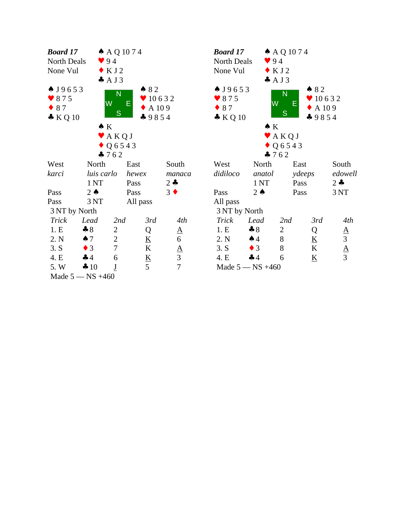| <b>Board 17</b>    |                 | $A$ AQ 1074                |                          |                   |                  | <b>Boc</b>             |
|--------------------|-----------------|----------------------------|--------------------------|-------------------|------------------|------------------------|
| North Deals        |                 | 94                         |                          |                   |                  | N <sub>O1</sub>        |
| None Vul           |                 | $\bullet$ KJ2              |                          |                   |                  | No                     |
|                    |                 | AJ3                        |                          |                   |                  |                        |
| $\triangle$ J9653  |                 | N                          | 82                       |                   |                  | $\clubsuit$ J          |
| $\bullet$ 875      |                 | W                          |                          | 910632            |                  | $\blacktriangledown$ { |
| $\bullet$ 87       |                 |                            | Е                        | $\triangle$ A 109 |                  | $\bullet$ {            |
| $\bullet KQ10$     |                 | S                          |                          | $-9854$           |                  | $\clubsuit$ ]          |
|                    |                 | $\bullet K$                |                          |                   |                  |                        |
|                    |                 | $\blacktriangleright$ AKQJ |                          |                   |                  |                        |
|                    |                 | $\bullet$ Q 6 5 4 3        |                          |                   |                  |                        |
|                    |                 | 4762                       |                          |                   |                  |                        |
| West               | North           |                            | East                     |                   | South            | We                     |
| karci              | luis carlo      |                            | hewex                    |                   | manaca           | did                    |
|                    | 1 <sub>NT</sub> |                            | Pass                     |                   | $2 -$            |                        |
| Pass               | $2 \triangle$   |                            | Pass                     |                   | $3 \bullet$      | Pas                    |
| Pass               | 3 NT            |                            | All pass                 |                   |                  | All                    |
| 3 NT by North      |                 |                            |                          |                   |                  | 3 <sub>1</sub>         |
| <b>Trick</b>       | Lead            | 2nd                        | 3rd                      |                   | 4th              | Tr                     |
| 1.E                | $\clubsuit 8$   | 2                          | Q                        |                   | $\underline{A}$  | 1.                     |
| 2. N               | $\clubsuit$ 7   | $\mathbf{2}$               | $\underline{\mathbf{K}}$ |                   | $\boldsymbol{6}$ | 2.                     |
| 3. S               | $\bullet$ 3     | $\overline{7}$             | K                        |                   | $rac{A}{3}$      | 3.                     |
| 4. E               | 44              | 6                          | $\underline{\mathbf{K}}$ |                   |                  | 4.                     |
| 5. W               | 410             | $\underline{\mathbf{J}}$   | 5                        |                   | $\overline{7}$   | M                      |
| Made $5 - NS +460$ |                 |                            |                          |                   |                  |                        |

| <b>Board 17</b>                                                     |                  | $\triangle$ AQ 1074                  |        |                                                               |                                |  |
|---------------------------------------------------------------------|------------------|--------------------------------------|--------|---------------------------------------------------------------|--------------------------------|--|
| <b>North Deals</b>                                                  | 94               |                                      |        |                                                               |                                |  |
| None Vul                                                            |                  | $\bullet$ KJ2                        |        |                                                               |                                |  |
|                                                                     | AJ3              |                                      |        |                                                               |                                |  |
| $\bullet$ J9653<br>$\bullet$ 875<br>$\bullet$ 87<br>$\bullet$ KQ 10 | W<br>$\bullet K$ | N<br>S<br>$\blacktriangleright$ AKQJ | Е      | $\bullet$ 82<br>$\bullet$ 10632<br>$\bullet$ A 109<br>$-9854$ |                                |  |
|                                                                     |                  | $\bullet$ Q 6 5 4 3                  |        |                                                               |                                |  |
|                                                                     | $-762$           |                                      |        |                                                               |                                |  |
| West                                                                | North            |                                      | East   |                                                               | South                          |  |
| didiloco                                                            | anatol           |                                      | ydeeps |                                                               | edowell                        |  |
|                                                                     | 1 <sub>NT</sub>  |                                      | Pass   |                                                               | $2 \bullet$                    |  |
| Pass                                                                | $2 \bullet$      |                                      | Pass   |                                                               | 3NT                            |  |
| All pass                                                            |                  |                                      |        |                                                               |                                |  |
| 3 NT by North                                                       |                  |                                      |        |                                                               |                                |  |
| Trick                                                               | Lead             | 2nd                                  |        | 3rd                                                           | 4th                            |  |
| 1.E                                                                 | $\clubsuit 8$    | 2                                    |        | Q                                                             |                                |  |
| 2. N                                                                | $\spadesuit$ 4   | 8                                    |        | $\underline{\mathbf{K}}$                                      |                                |  |
| 3. S                                                                | $\bullet$ 3      | 8                                    |        | K                                                             | $\frac{A}{3}$<br>$\frac{A}{3}$ |  |
| 4. E                                                                | 44               | 6                                    |        | <u>K</u>                                                      |                                |  |
| Made $5 - NS +460$                                                  |                  |                                      |        |                                                               |                                |  |